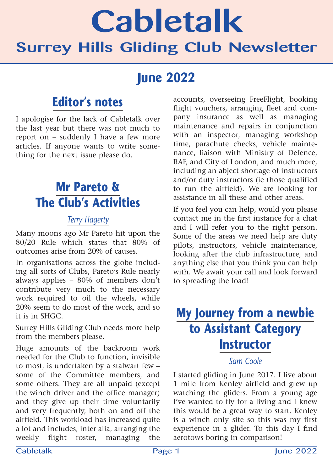# Cabletalk Surrey Hills Gliding Club Newsletter

### **June 2022**

### **Editor's notes**

I apologise for the lack of Cabletalk over the last year but there was not much to report on – suddenly I have a few more articles. If anyone wants to write something for the next issue please do.

### **Mr Pareto & The Club's Activities**

#### *Terry Hagerty*

Many moons ago Mr Pareto hit upon the 80/20 Rule which states that 80% of outcomes arise from 20% of causes.

In organisations across the globe including all sorts of Clubs, Pareto's Rule nearly always applies – 80% of members don't contribute very much to the necessary work required to oil the wheels, while 20% seem to do most of the work, and so it is in SHGC.

Surrey Hills Gliding Club needs more help from the members please.

Huge amounts of the backroom work needed for the Club to function, invisible to most, is undertaken by a stalwart few – some of the Committee members, and some others. They are all unpaid (except the winch driver and the office manager) and they give up their time voluntarily and very frequently, both on and off the airfield. This workload has increased quite a lot and includes, inter alia, arranging the weekly flight roster, managing the

accounts, overseeing FreeFlight, booking flight vouchers, arranging fleet and company insurance as well as managing maintenance and repairs in conjunction with an inspector, managing workshop time, parachute checks, vehicle maintenance, liaison with Ministry of Defence, RAF, and City of London, and much more, including an abject shortage of instructors and/or duty instructors (ie those qualified to run the airfield). We are looking for assistance in all these and other areas.

If you feel you can help, would you please contact me in the first instance for a chat and I will refer you to the right person. Some of the areas we need help are duty pilots, instructors, vehicle maintenance, looking after the club infrastructure, and anything else that you think you can help with. We await your call and look forward to spreading the load!

### **My Journey from a newbie to Assistant Category Instructor** *Sam Coole*

I started gliding in June 2017. I live about 1 mile from Kenley airfield and grew up watching the gliders. From a young age I've wanted to fly for a living and I knew this would be a great way to start. Kenley is a winch only site so this was my first experience in a glider. To this day I find aerotows boring in comparison!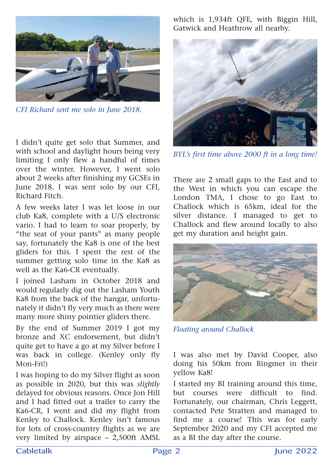

*CFI Richard sent me solo in June 2018.*

I didn't quite get solo that Summer, and with school and daylight hours being very limiting I only flew a handful of times over the winter. However, I went solo about 2 weeks after finishing my GCSEs in June 2018. I was sent solo by our CFI, Richard Fitch.

A few weeks later I was let loose in our club Ka8, complete with a U/S electronic vario. I had to learn to soar properly, by "the seat of your pants" as many people say, fortunately the Ka8 is one of the best gliders for this. I spent the rest of the summer getting solo time in the Ka8 as well as the Ka6-CR eventually.

I joined Lasham in October 2018 and would regularly dig out the Lasham Youth Ka8 from the back of the hangar, unfortunately it didn't fly very much as there were many more shiny pointier gliders there.

By the end of Summer 2019 I got my bronze and XC endorsement, but didn't quite get to have a go at my Silver before I was back in college. (Kenley only fly Mon-Fri!)

I was hoping to do my Silver flight as soon as possible in 2020, but this was *slightly* delayed for obvious reasons. Once Jon Hill and I had fitted out a trailer to carry the Ka6-CR, I went and did my flight from Kenley to Challock. Kenley isn't famous for lots of cross-country flights as we are very limited by airspace – 2,500ft AMSL

which is 1,934ft QFE, with Biggin Hill, Gatwick and Heathrow all nearby.



*BYL's first time above 2000 ft in a long time!*

There are 2 small gaps to the East and to the West in which you can escape the London TMA, I chose to go East to Challock which is 65km, ideal for the silver distance. I managed to get to Challock and flew around locally to also get my duration and height gain.



*Floating around Challock*

I was also met by David Cooper, also doing his 50km from Ringmer in their yellow Ka8!

I started my BI training around this time, but courses were difficult to find. Fortunately, our chairman, Chris Leggett, contacted Pete Stratten and managed to find me a course! This was for early September 2020 and my CFI accepted me as a BI the day after the course.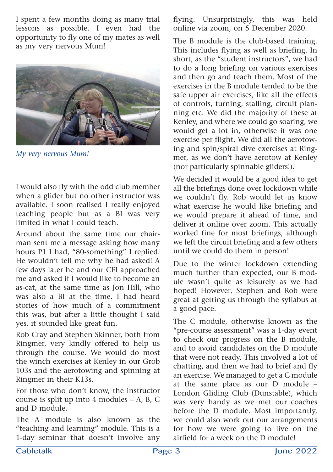I spent a few months doing as many trial lessons as possible. I even had the opportunity to fly one of my mates as well as my very nervous Mum!



*My very nervous Mum!*

I would also fly with the odd club member when a glider but no other instructor was available. I soon realised I really enjoyed teaching people but as a BI was very limited in what I could teach.

Around about the same time our chairman sent me a message asking how many hours P1 I had, "80-something" I replied. He wouldn't tell me why he had asked! A few days later he and our CFI approached me and asked if I would like to become an as-cat, at the same time as Jon Hill, who was also a BI at the time. I had heard stories of how much of a commitment this was, but after a little thought I said yes, it sounded like great fun.

Rob Cray and Stephen Skinner, both from Ringmer, very kindly offered to help us through the course. We would do most the winch exercises at Kenley in our Grob 103s and the aerotowing and spinning at Ringmer in their K13s.

For those who don't know, the instructor course is split up into 4 modules – A, B, C and D module.

The A module is also known as the "teaching and learning" module. This is a 1-day seminar that doesn't involve any flying. Unsurprisingly, this was held online via zoom, on 5 December 2020.

The B module is the club-based training. This includes flying as well as briefing. In short, as the "student instructors", we had to do a long briefing on various exercises and then go and teach them. Most of the exercises in the B module tended to be the safe upper air exercises, like all the effects of controls, turning, stalling, circuit planning etc. We did the majority of these at Kenley, and where we could go soaring, we would get a lot in, otherwise it was one exercise per flight. We did all the aerotowing and spin/spiral dive exercises at Ringmer, as we don't have aerotow at Kenley (nor particularly spinnable gliders!).

We decided it would be a good idea to get all the briefings done over lockdown while we couldn't fly. Rob would let us know what exercise he would like briefing and we would prepare it ahead of time, and deliver it online over zoom. This actually worked fine for most briefings, although we left the circuit briefing and a few others until we could do them in person!

Due to the winter lockdown extending much further than expected, our B module wasn't quite as leisurely as we had hoped! However, Stephen and Rob were great at getting us through the syllabus at a good pace.

The C module, otherwise known as the "pre-course assessment" was a 1-day event to check our progress on the B module, and to avoid candidates on the D module that were not ready. This involved a lot of chatting, and then we had to brief and fly an exercise. We managed to get a C module at the same place as our D module – London Gliding Club (Dunstable), which was very handy as we met our coaches before the D module. Most importantly, we could also work out our arrangements for how we were going to live on the airfield for a week on the D module!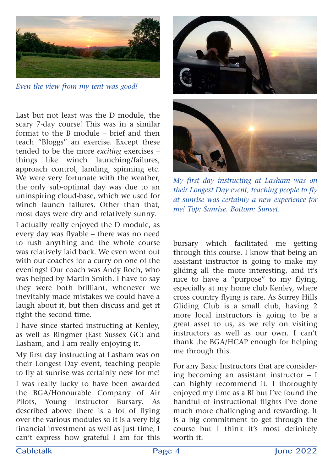

*Even the view from my tent was good!*

Last but not least was the D module, the scary 7-day course! This was in a similar format to the B module – brief and then teach "Bloggs" an exercise. Except these tended to be the more *exciting* exercises – things like winch launching/failures, approach control, landing, spinning etc. We were very fortunate with the weather, the only sub-optimal day was due to an uninspiring cloud-base, which we used for winch launch failures. Other than that, most days were dry and relatively sunny.

I actually really enjoyed the D module, as every day was flyable – there was no need to rush anything and the whole course was relatively laid back. We even went out with our coaches for a curry on one of the evenings! Our coach was Andy Roch, who was helped by Martin Smith. I have to say they were both brilliant, whenever we inevitably made mistakes we could have a laugh about it, but then discuss and get it right the second time.

I have since started instructing at Kenley, as well as Ringmer (East Sussex GC) and Lasham, and I am really enjoying it.

My first day instructing at Lasham was on their Longest Day event, teaching people to fly at sunrise was certainly new for me! I was really lucky to have been awarded the BGA/Honourable Company of Air Pilots, Young Instructor Bursary. As described above there is a lot of flying over the various modules so it is a very big financial investment as well as just time, I can't express how grateful I am for this





*My first day instructing at Lasham was on their Longest Day event, teaching people to fly at sunrise was certainly a new experience for me! Top: Sunrise. Bottom: Sunset.*

bursary which facilitated me getting through this course. I know that being an assistant instructor is going to make my gliding all the more interesting, and it's nice to have a "purpose" to my flying, especially at my home club Kenley, where cross country flying is rare. As Surrey Hills Gliding Club is a small club, having 2 more local instructors is going to be a great asset to us, as we rely on visiting instructors as well as our own. I can't thank the BGA/HCAP enough for helping me through this.

For any Basic Instructors that are considering becoming an assistant instructor – I can highly recommend it. I thoroughly enjoyed my time as a BI but I've found the handful of instructional flights I've done much more challenging and rewarding. It is a big commitment to get through the course but I think it's most definitely worth it.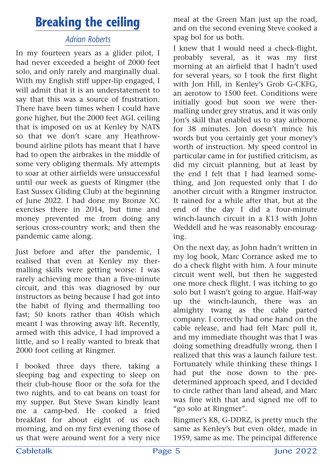### **Breaking the ceiling**

#### *Adrian Roberts*

In my fourteen years as a glider pilot, I had never exceeded a height of 2000 feet solo, and only rarely and marginally dual. With my English stiff upper-lip engaged, I will admit that it is an understatement to say that this was a source of frustration. There have been times when I could have gone higher, but the 2000 feet AGL ceiling that is imposed on us at Kenley by NATS so that we don't scare any Heathrowbound airline pilots has meant that I have had to open the airbrakes in the middle of some very obliging thermals. My attempts to soar at other airfields were unsuccessful until our week as guests of Ringmer (the East Sussex Gliding Club) at the beginning of June 2022. I had done my Bronze XC exercises there in 2014, but time and money prevented me from doing any serious cross-country work; and then the pandemic came along.

Just before and after the pandemic, I realised that even at Kenley my thermalling skills were getting worse: I was rarely achieving more than a five-minute circuit, and this was diagnosed by our instructors as being because I had got into the habit of flying and thermalling too fast; 50 knots rather than 40ish which meant I was throwing away lift. Recently, armed with this advice, I had improved a little, and so I really wanted to break that 2000 foot ceiling at Ringmer.

I booked three days there, taking a sleeping bag and expecting to sleep on their club-house floor or the sofa for the two nights, and to eat beans on toast for my supper. But Steve Swan kindly leant me a camp-bed. He cooked a fried breakfast for about eight of us each morning, and on my first evening those of us that were around went for a very nice

meal at the Green Man just up the road, and on the second evening Steve cooked a spag bol for us both.

I knew that I would need a check-flight, probably several, as it was my first morning at an airfield that I hadn't used for several years, so I took the first flight with Jon Hill, in Kenley's Grob G-CKFG, an aerotow to 1500 feet. Conditions were initially good but soon we were thermalling under grey stratus, and it was only Jon's skill that enabled us to stay airborne for 38 minutes. Jon doesn't mince his words but you certainly get your money's worth of instruction. My speed control in particular came in for justified criticism, as did my circuit planning, but at least by the end I felt that I had learned something, and Jon requested only that I do another circuit with a Ringmer instructor. It rained for a while after that, but at the end of the day I did a four-minute winch-launch circuit in a K13 with John Weddell and he was reasonably encouraging.

On the next day, as John hadn't written in my log book, Marc Corrance asked me to do a check flight with him. A four minute circuit went well, but then he suggested one more check flight. I was itching to go solo but I wasn't going to argue. Half-way up the winch-launch, there was an almighty twang as the cable parted company. I correctly had one hand on the cable release, and had felt Marc pull it, and my immediate thought was that I was doing something dreadfully wrong, then I realized that this was a launch failure test. Fortunately while thinking these things I had put the nose down to the predetermined approach speed, and I decided to circle rather than land ahead, and Marc was fine with that and signed me off to "go solo at Ringmer".

Ringmer's K8, G-DDRZ, is pretty much the same as Kenley's but even older, made in 1959, same as me. The principal difference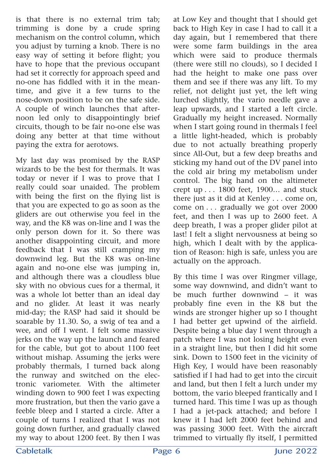is that there is no external trim tab; trimming is done by a crude spring mechanism on the control column, which you adjust by turning a knob. There is no easy way of setting it before flight; you have to hope that the previous occupant had set it correctly for approach speed and no-one has fiddled with it in the meantime, and give it a few turns to the nose-down position to be on the safe side. A couple of winch launches that afternoon led only to disappointingly brief circuits, though to be fair no-one else was doing any better at that time without paying the extra for aerotows.

My last day was promised by the RASP wizards to be the best for thermals. It was today or never if I was to prove that I really could soar unaided. The problem with being the first on the flying list is that you are expected to go as soon as the gliders are out otherwise you feel in the way, and the K8 was on-line and I was the only person down for it. So there was another disappointing circuit, and more feedback that I was still cramping my downwind leg. But the K8 was on-line again and no-one else was jumping in, and although there was a cloudless blue sky with no obvious cues for a thermal, it was a whole lot better than an ideal day and no glider. At least it was nearly mid-day; the RASP had said it should be soarable by 11.30. So, a swig of tea and a wee, and off I went. I felt some massive jerks on the way up the launch and feared for the cable, but got to about 1100 feet without mishap. Assuming the jerks were probably thermals, I turned back along the runway and switched on the electronic variometer. With the altimeter winding down to 900 feet I was expecting more frustration, but then the vario gave a feeble bleep and I started a circle. After a couple of turns I realized that I was not going down further, and gradually clawed my way to about 1200 feet. By then I was

at Low Key and thought that I should get back to High Key in case I had to call it a day again, but I remembered that there were some farm buildings in the area which were said to produce thermals (there were still no clouds), so I decided I had the height to make one pass over them and see if there was any lift. To my relief, not delight just yet, the left wing lurched slightly, the vario needle gave a leap upwards, and I started a left circle. Gradually my height increased. Normally when I start going round in thermals I feel a little light-headed, which is probably due to not actually breathing properly since All-Out, but a few deep breaths and sticking my hand out of the DV panel into the cold air bring my metabolism under control. The big hand on the altimeter crept up... 1800 feet, 1900… and stuck there just as it did at Kenley... come on, come on... gradually we got over 2000 feet, and then I was up to 2600 feet. A deep breath, I was a proper glider pilot at last! I felt a slight nervousness at being so high, which I dealt with by the application of Reason: high is safe, unless you are actually on the approach.

By this time I was over Ringmer village, some way downwind, and didn't want to be much further downwind – it was probably fine even in the K8 but the winds are stronger higher up so I thought I had better get upwind of the airfield. Despite being a blue day I went through a patch where I was not losing height even in a straight line, but then I did hit some sink. Down to 1500 feet in the vicinity of High Key, I would have been reasonably satisfied if I had had to get into the circuit and land, but then I felt a lurch under my bottom, the vario bleeped frantically and I turned hard. This time I was up as though I had a jet-pack attached; and before I knew it I had left 2000 feet behind and was passing 3000 feet. With the aircraft trimmed to virtually fly itself, I permitted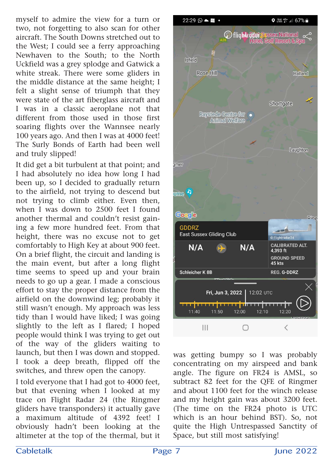myself to admire the view for a turn or two, not forgetting to also scan for other aircraft. The South Downs stretched out to the West; I could see a ferry approaching Newhaven to the South; to the North Uckfield was a grey splodge and Gatwick a white streak. There were some gliders in the middle distance at the same height; I felt a slight sense of triumph that they were state of the art fiberglass aircraft and I was in a classic aeroplane not that different from those used in those first soaring flights over the Wannsee nearly 100 years ago. And then I was at 4000 feet! The Surly Bonds of Earth had been well and truly slipped!

It did get a bit turbulent at that point; and I had absolutely no idea how long I had been up, so I decided to gradually return to the airfield, not trying to descend but not trying to climb either. Even then, when I was down to 2500 feet I found another thermal and couldn't resist gaining a few more hundred feet. From that height, there was no excuse not to get comfortably to High Key at about 900 feet. On a brief flight, the circuit and landing is the main event, but after a long flight time seems to speed up and your brain needs to go up a gear. I made a conscious effort to stay the proper distance from the airfield on the downwind leg; probably it still wasn't enough. My approach was less tidy than I would have liked; I was going slightly to the left as I flared; I hoped people would think I was trying to get out of the way of the gliders waiting to launch, but then I was down and stopped. I took a deep breath, flipped off the switches, and threw open the canopy.

I told everyone that I had got to 4000 feet, but that evening when I looked at my trace on Flight Radar 24 (the Ringmer gliders have transponders) it actually gave a maximum altitude of 4392 feet! I obviously hadn't been looking at the altimeter at the top of the thermal, but it



was getting bumpy so I was probably concentrating on my airspeed and bank angle. The figure on FR24 is AMSL, so subtract 82 feet for the QFE of Ringmer and about 1100 feet for the winch release and my height gain was about 3200 feet. (The time on the FR24 photo is UTC which is an hour behind BST). So, not quite the High Untrespassed Sanctity of Space, but still most satisfying!